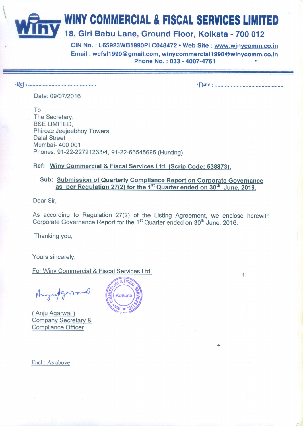## **WINY COMMERCIAL & FISCAL SERVICES LIMITED**

## 18, Giri Babu Lane, Ground Floor, Kolkata - 700 012

CIN No.: L65923WB1990PLC048472 . Web Site: www.winycomm.co.in Email: wcfsl1990@gmail.com, winycommercial1990@winycomm.co.in Phone No.: 033 - 4007-4761

Date: 09/07/2016

To The Secretary, **BSE LIMITED.** Phiroze Jeejeebhoy Towers, **Dalal Street** Mumbai- 400 001 Phones: 91-22-22721233/4, 91-22-66545695 (Hunting)

Ref: Winy Commercial & Fiscal Services Ltd. (Scrip Code: 538873),

Sub: Submission of Quarterly Compliance Report on Corporate Governance as per Regulation 27(2) for the 1<sup>st</sup> Quarter ended on 30<sup>th</sup> June, 2016.

Dear Sir.

As according to Regulation 27(2) of the Listing Agreement, we enclose herewith Corporate Governance Report for the 1<sup>st</sup> Quarter ended on 30<sup>th</sup> June. 2016.

Thanking you,

Yours sincerely,

For Winy Commercial & Fiscal Services Ltd.

(Anju Agarwal) **Company Secretary & Compliance Officer** 



Encl.: As above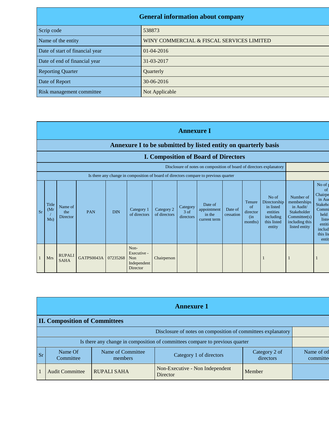| <b>General information about company</b> |                                           |  |  |  |
|------------------------------------------|-------------------------------------------|--|--|--|
| Scrip code                               | 538873                                    |  |  |  |
| Name of the entity                       | WINY COMMERCIAL & FISCAL SERVICES LIMITED |  |  |  |
| Date of start of financial year          | $01 - 04 - 2016$                          |  |  |  |
| Date of end of financial year            | 31-03-2017                                |  |  |  |
| <b>Reporting Quarter</b>                 | Quarterly                                 |  |  |  |
| Date of Report                           | 30-06-2016                                |  |  |  |
| Risk management committee                | Not Applicable                            |  |  |  |

|           | <b>Annexure I</b>                                                                                                                                            |                              |            |            |                                                              |                            |                                 |                                                  |                      |                                                  |                                                                                      |                                                                                                         |                                                                                                               |
|-----------|--------------------------------------------------------------------------------------------------------------------------------------------------------------|------------------------------|------------|------------|--------------------------------------------------------------|----------------------------|---------------------------------|--------------------------------------------------|----------------------|--------------------------------------------------|--------------------------------------------------------------------------------------|---------------------------------------------------------------------------------------------------------|---------------------------------------------------------------------------------------------------------------|
|           | Annexure I to be submitted by listed entity on quarterly basis<br><b>I. Composition of Board of Directors</b>                                                |                              |            |            |                                                              |                            |                                 |                                                  |                      |                                                  |                                                                                      |                                                                                                         |                                                                                                               |
|           | Disclosure of notes on composition of board of directors explanatory<br>Is there any change in composition of board of directors compare to previous quarter |                              |            |            |                                                              |                            |                                 |                                                  |                      |                                                  |                                                                                      |                                                                                                         |                                                                                                               |
|           |                                                                                                                                                              |                              |            |            |                                                              |                            |                                 |                                                  |                      |                                                  |                                                                                      |                                                                                                         |                                                                                                               |
| <b>Sr</b> | Title<br>(Mr)<br>Ms)                                                                                                                                         | Name of<br>the<br>Director   | <b>PAN</b> | <b>DIN</b> | Category 1<br>of directors                                   | Category 2<br>of directors | Category<br>$3$ of<br>directors | Date of<br>appointment<br>in the<br>current term | Date of<br>cessation | Tenure<br>$\alpha$<br>director<br>(in<br>months) | No of<br>Directorship<br>in listed<br>entities<br>including<br>this listed<br>entity | Number of<br>memberships<br>in Audit/<br>Stakeholder<br>Committee(s)<br>including this<br>listed entity | No of<br>of<br>Chairpe<br>in Au<br>Stakeho<br>Commi<br>held<br>liste<br>entiti<br>includ<br>this lis<br>entit |
|           | <b>Mrs</b>                                                                                                                                                   | <b>RUPALI</b><br><b>SAHA</b> | GATPS0043A | 07235268   | Non-<br>Executive -<br><b>Non</b><br>Independent<br>Director | Chairperson                |                                 |                                                  |                      |                                                  |                                                                                      |                                                                                                         |                                                                                                               |

|                                      | <b>Annexure 1</b>                                                            |                              |                                             |                            |                         |  |  |
|--------------------------------------|------------------------------------------------------------------------------|------------------------------|---------------------------------------------|----------------------------|-------------------------|--|--|
| <b>II. Composition of Committees</b> |                                                                              |                              |                                             |                            |                         |  |  |
|                                      | Disclosure of notes on composition of committees explanatory                 |                              |                                             |                            |                         |  |  |
|                                      | Is there any change in composition of committees compare to previous quarter |                              |                                             |                            |                         |  |  |
| <b>Sr</b>                            | Name Of<br>Committee                                                         | Name of Committee<br>members | Category 1 of directors                     | Category 2 of<br>directors | Name of otl<br>committe |  |  |
|                                      | <b>Audit Committee</b>                                                       | <b>RUPALI SAHA</b>           | Non-Executive - Non Independent<br>Director | Member                     |                         |  |  |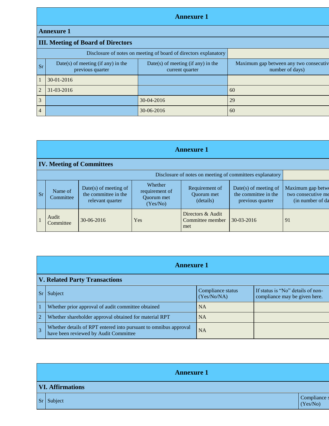## **Annexure 1**

## **Annexure 1**

|                | <b>III. Meeting of Board of Directors</b>                        |                                                         |                                                           |  |  |  |
|----------------|------------------------------------------------------------------|---------------------------------------------------------|-----------------------------------------------------------|--|--|--|
|                | Disclosure of notes on meeting of board of directors explanatory |                                                         |                                                           |  |  |  |
| Sr             | Date(s) of meeting (if any) in the<br>previous quarter           | $Date(s)$ of meeting (if any) in the<br>current quarter | Maximum gap between any two consecutiv<br>number of days) |  |  |  |
|                | $30 - 01 - 2016$                                                 |                                                         |                                                           |  |  |  |
| $\mathfrak{D}$ | $31 - 03 - 2016$                                                 |                                                         | 60                                                        |  |  |  |
| 3              |                                                                  | 30-04-2016                                              | 29                                                        |  |  |  |
| $\overline{4}$ |                                                                  | 30-06-2016                                              | 60                                                        |  |  |  |

|           | <b>Annexure 1</b>                                        |                                                                     |                                                            |                                              |                                                                   |                                                             |  |
|-----------|----------------------------------------------------------|---------------------------------------------------------------------|------------------------------------------------------------|----------------------------------------------|-------------------------------------------------------------------|-------------------------------------------------------------|--|
|           | <b>IV. Meeting of Committees</b>                         |                                                                     |                                                            |                                              |                                                                   |                                                             |  |
|           | Disclosure of notes on meeting of committees explanatory |                                                                     |                                                            |                                              |                                                                   |                                                             |  |
| <b>Sr</b> | Name of<br>Committee                                     | $Date(s)$ of meeting of<br>the committee in the<br>relevant quarter | Whether<br>requirement of<br><b>Ouorum</b> met<br>(Yes/No) | Requirement of<br>Quorum met<br>(details)    | Date(s) of meeting of<br>the committee in the<br>previous quarter | Maximum gap betwe<br>two consecutive me<br>(in number of da |  |
|           | Audit<br>Committee                                       | 30-06-2016                                                          | Yes                                                        | Directors & Audit<br>Committee member<br>met | 30-03-2016                                                        | 91                                                          |  |

|                | <b>Annexure 1</b>                                                                                         |                                  |                                                                    |  |  |
|----------------|-----------------------------------------------------------------------------------------------------------|----------------------------------|--------------------------------------------------------------------|--|--|
|                | <b>V. Related Party Transactions</b>                                                                      |                                  |                                                                    |  |  |
|                | Subject                                                                                                   | Compliance status<br>(Yes/No/NA) | If status is "No" details of non-<br>compliance may be given here. |  |  |
|                | Whether prior approval of audit committee obtained                                                        | <b>NA</b>                        |                                                                    |  |  |
| $\overline{2}$ | Whether shareholder approval obtained for material RPT                                                    | <b>NA</b>                        |                                                                    |  |  |
| 3              | Whether details of RPT entered into pursuant to omnibus approval<br>have been reviewed by Audit Committee | <b>NA</b>                        |                                                                    |  |  |

| <b>Annexure 1</b>       |                          |
|-------------------------|--------------------------|
| <b>VI. Affirmations</b> |                          |
| $Sr$ Subject            | Compliance s<br>(Yes/No) |